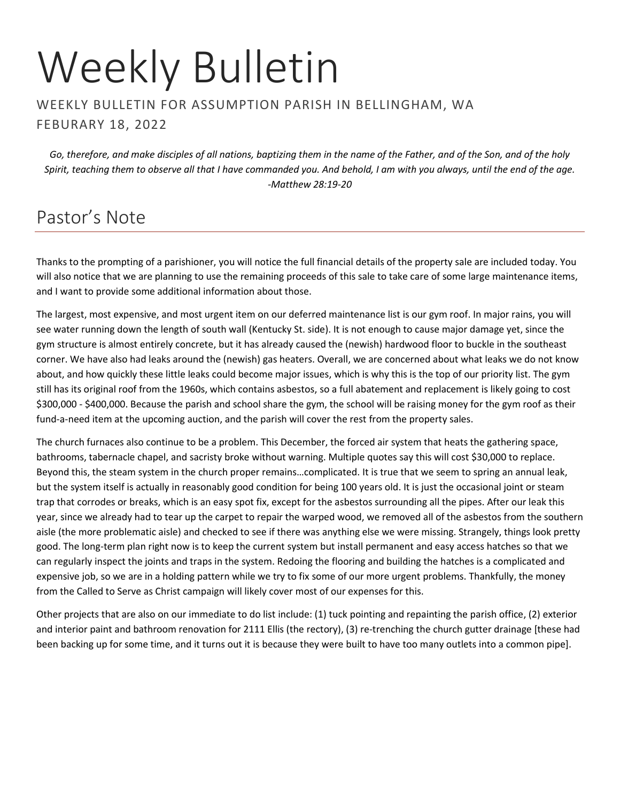# Weekly Bulletin

#### WEEKLY BULLETIN FOR ASSUMPTION PARISH IN BELLINGHAM, WA FEBURARY 18, 2022

*Go, therefore, and make disciples of all nations, baptizing them in the name of the Father, and of the Son, and of the holy Spirit, teaching them to observe all that I have commanded you. And behold, I am with you always, until the end of the age. -Matthew 28:19-20*

# Pastor's Note

Thanks to the prompting of a parishioner, you will notice the full financial details of the property sale are included today. You will also notice that we are planning to use the remaining proceeds of this sale to take care of some large maintenance items, and I want to provide some additional information about those.

The largest, most expensive, and most urgent item on our deferred maintenance list is our gym roof. In major rains, you will see water running down the length of south wall (Kentucky St. side). It is not enough to cause major damage yet, since the gym structure is almost entirely concrete, but it has already caused the (newish) hardwood floor to buckle in the southeast corner. We have also had leaks around the (newish) gas heaters. Overall, we are concerned about what leaks we do not know about, and how quickly these little leaks could become major issues, which is why this is the top of our priority list. The gym still has its original roof from the 1960s, which contains asbestos, so a full abatement and replacement is likely going to cost \$300,000 - \$400,000. Because the parish and school share the gym, the school will be raising money for the gym roof as their fund-a-need item at the upcoming auction, and the parish will cover the rest from the property sales.

The church furnaces also continue to be a problem. This December, the forced air system that heats the gathering space, bathrooms, tabernacle chapel, and sacristy broke without warning. Multiple quotes say this will cost \$30,000 to replace. Beyond this, the steam system in the church proper remains…complicated. It is true that we seem to spring an annual leak, but the system itself is actually in reasonably good condition for being 100 years old. It is just the occasional joint or steam trap that corrodes or breaks, which is an easy spot fix, except for the asbestos surrounding all the pipes. After our leak this year, since we already had to tear up the carpet to repair the warped wood, we removed all of the asbestos from the southern aisle (the more problematic aisle) and checked to see if there was anything else we were missing. Strangely, things look pretty good. The long-term plan right now is to keep the current system but install permanent and easy access hatches so that we can regularly inspect the joints and traps in the system. Redoing the flooring and building the hatches is a complicated and expensive job, so we are in a holding pattern while we try to fix some of our more urgent problems. Thankfully, the money from the Called to Serve as Christ campaign will likely cover most of our expenses for this.

Other projects that are also on our immediate to do list include: (1) tuck pointing and repainting the parish office, (2) exterior and interior paint and bathroom renovation for 2111 Ellis (the rectory), (3) re-trenching the church gutter drainage [these had been backing up for some time, and it turns out it is because they were built to have too many outlets into a common pipe].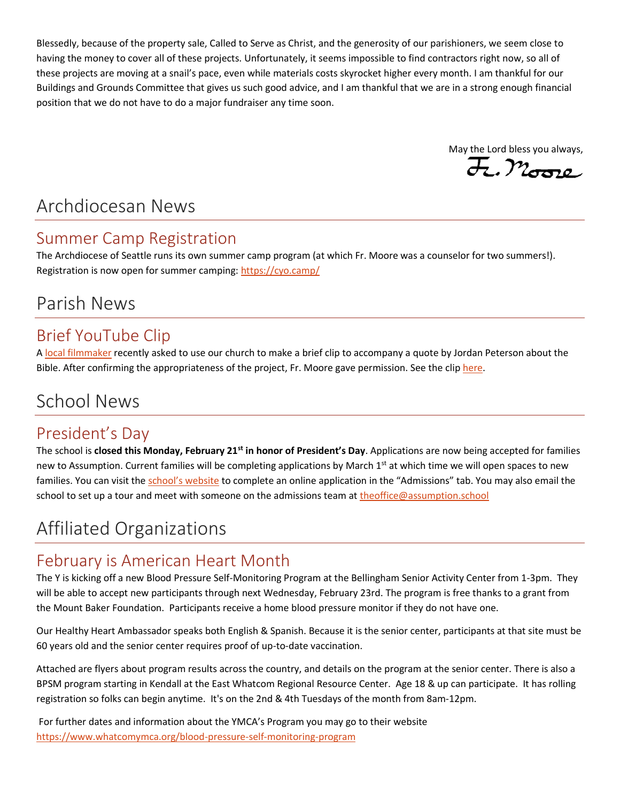Blessedly, because of the property sale, Called to Serve as Christ, and the generosity of our parishioners, we seem close to having the money to cover all of these projects. Unfortunately, it seems impossible to find contractors right now, so all of these projects are moving at a snail's pace, even while materials costs skyrocket higher every month. I am thankful for our Buildings and Grounds Committee that gives us such good advice, and I am thankful that we are in a strong enough financial position that we do not have to do a major fundraiser any time soon.

May the Lord bless you always,  $\overline{\mathcal{H}}$ ,  $\mathcal{M}_{\text{G22C}}$ 

## Archdiocesan News

#### Summer Camp Registration

The Archdiocese of Seattle runs its own summer camp program (at which Fr. Moore was a counselor for two summers!). Registration is now open for summer camping:<https://cyo.camp/>

# Parish News

#### Brief YouTube Clip

[A local filmmaker](https://www.pacificmedia.co/info) recently asked to use our church to make a brief clip to accompany a quote by Jordan Peterson about the Bible. After confirming the appropriateness of the project, Fr. Moore gave permission. See the clip [here.](https://www.youtube.com/watch?v=p_IAubEzycs)

# School News

#### President's Day

The school is **closed this Monday, February 21st in honor of President's Day**. Applications are now being accepted for families new to Assumption. Current families will be completing applications by March 1<sup>st</sup> at which time we will open spaces to new families. You can visit the [school's website](https://school.assumption.org/auction/) to complete an online application in the "Admissions" tab. You may also email the school to set up a tour and meet with someone on the admissions team a[t theoffice@assumption.school](mailto:theoffice@assumption.school)

# Affiliated Organizations

#### February is American Heart Month

The Y is kicking off a new Blood Pressure Self-Monitoring Program at the Bellingham Senior Activity Center from 1-3pm. They will be able to accept new participants through next Wednesday, February 23rd. The program is free thanks to a grant from the Mount Baker Foundation. Participants receive a home blood pressure monitor if they do not have one.

Our Healthy Heart Ambassador speaks both English & Spanish. Because it is the senior center, participants at that site must be 60 years old and the senior center requires proof of up-to-date vaccination.

Attached are flyers about program results across the country, and details on the program at the senior center. There is also a BPSM program starting in Kendall at the East Whatcom Regional Resource Center. Age 18 & up can participate. It has rolling registration so folks can begin anytime. It's on the 2nd & 4th Tuesdays of the month from 8am-12pm.

For further dates and information about the YMCA's Program you may go to their website <https://www.whatcomymca.org/blood-pressure-self-monitoring-program>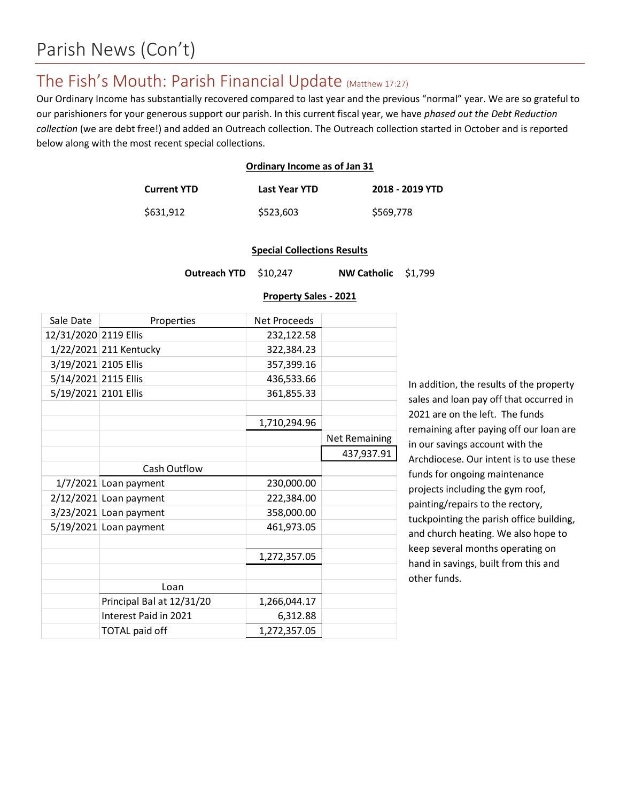#### The Fish's Mouth: Parish Financial Update (Matthew 17:27)

Our Ordinary Income has substantially recovered compared to last year and the previous "normal" year. We are so grateful to our parishioners for your generous support our parish. In this current fiscal year, we have *phased out the Debt Reduction collection* (we are debt free!) and added an Outreach collection. The Outreach collection started in October and is reported below along with the most recent special collections.

#### **Ordinary Income as of Jan 31**

| <b>Current YTD</b> | Last Year YTD | 2018 - 2019 YTD |
|--------------------|---------------|-----------------|
| \$631,912          | \$523,603     | \$569,778       |

#### **Special Collections Results**

**Outreach YTD** \$10,247 **NW Catholic** \$1,799

#### **Property Sales - 2021**

| Sale Date             | Properties                | <b>Net Proceeds</b> |                      |
|-----------------------|---------------------------|---------------------|----------------------|
| 12/31/2020 2119 Ellis |                           | 232,122.58          |                      |
|                       | 1/22/2021 211 Kentucky    | 322,384.23          |                      |
| 3/19/2021 2105 Ellis  |                           | 357,399.16          |                      |
| 5/14/2021 2115 Ellis  |                           | 436,533.66          |                      |
| 5/19/2021 2101 Ellis  |                           | 361,855.33          |                      |
|                       |                           |                     |                      |
|                       |                           | 1,710,294.96        |                      |
|                       |                           |                     | <b>Net Remaining</b> |
|                       |                           |                     | 437,937.91           |
|                       | Cash Outflow              |                     |                      |
|                       | $1/7/2021$ Loan payment   | 230,000.00          |                      |
|                       | $2/12/2021$ Loan payment  | 222,384.00          |                      |
|                       | 3/23/2021 Loan payment    | 358,000.00          |                      |
|                       | $5/19/2021$ Loan payment  | 461,973.05          |                      |
|                       |                           |                     |                      |
|                       |                           | 1,272,357.05        |                      |
|                       |                           |                     |                      |
|                       | Loan                      |                     |                      |
|                       | Principal Bal at 12/31/20 | 1,266,044.17        |                      |
|                       | Interest Paid in 2021     | 6,312.88            |                      |
|                       | <b>TOTAL paid off</b>     | 1,272,357.05        |                      |

In addition, the results of the property sales and loan pay off that occurred in 2021 are on the left. The funds remaining after paying off our loan are in our savings account with the Archdiocese. Our intent is to use these funds for ongoing maintenance projects including the gym roof, painting/repairs to the rectory, tuckpointing the parish office building, and church heating. We also hope to keep several months operating on hand in savings, built from this and other funds.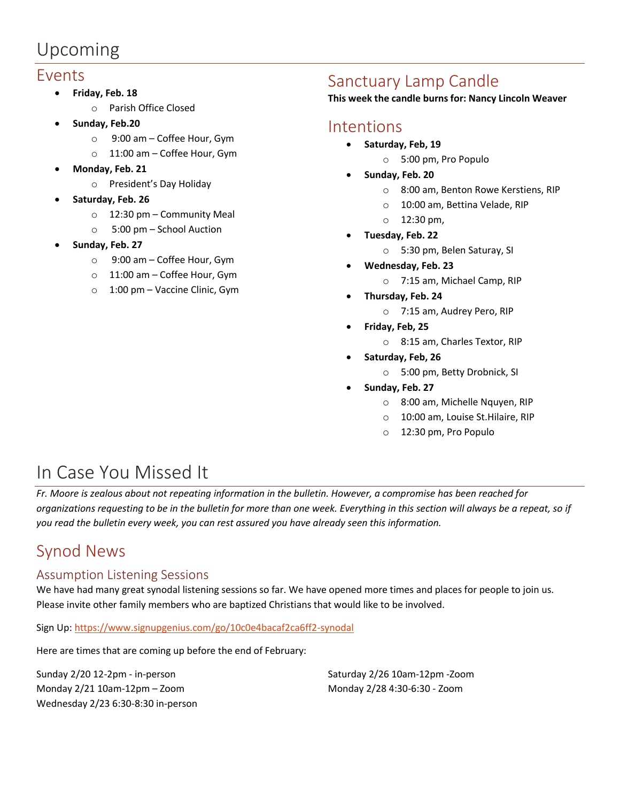# Upcoming

#### Events

- **Friday, Feb. 18**
	- o Parish Office Closed
- **Sunday, Feb.20**
	- o 9:00 am Coffee Hour, Gym
	- o 11:00 am Coffee Hour, Gym
- **Monday, Feb. 21**
	- o President's Day Holiday
- **Saturday, Feb. 26**
	- o 12:30 pm Community Meal
	- o 5:00 pm School Auction
- **Sunday, Feb. 27**
	- o 9:00 am Coffee Hour, Gym
	- o 11:00 am Coffee Hour, Gym
	- o 1:00 pm Vaccine Clinic, Gym

### Sanctuary Lamp Candle

**This week the candle burns for: Nancy Lincoln Weaver**

#### Intentions

- **Saturday, Feb, 19**
	- o 5:00 pm, Pro Populo
- **Sunday, Feb. 20**
	- o 8:00 am, Benton Rowe Kerstiens, RIP
	- o 10:00 am, Bettina Velade, RIP
	- o 12:30 pm,
- **Tuesday, Feb. 22**
	- o 5:30 pm, Belen Saturay, SI
- **Wednesday, Feb. 23**
	- o 7:15 am, Michael Camp, RIP
- **Thursday, Feb. 24**
	- o 7:15 am, Audrey Pero, RIP
- **Friday, Feb, 25**
	- o 8:15 am, Charles Textor, RIP
- **Saturday, Feb, 26**
	- o 5:00 pm, Betty Drobnick, SI
- **Sunday, Feb. 27**
	- o 8:00 am, Michelle Nquyen, RIP
	- o 10:00 am, Louise St.Hilaire, RIP
	- o 12:30 pm, Pro Populo

# In Case You Missed It

*Fr. Moore is zealous about not repeating information in the bulletin. However, a compromise has been reached for organizations requesting to be in the bulletin for more than one week. Everything in this section will always be a repeat, so if you read the bulletin every week, you can rest assured you have already seen this information.*

# Synod News

#### Assumption Listening Sessions

We have had many great synodal listening sessions so far. We have opened more times and places for people to join us. Please invite other family members who are baptized Christians that would like to be involved.

Sign Up[: https://www.signupgenius.com/go/10c0e4bacaf2ca6ff2-synodal](https://www.signupgenius.com/go/10c0e4bacaf2ca6ff2-synodal)

Here are times that are coming up before the end of February:

Sunday 2/20 12-2pm - in-person Monday 2/21 10am-12pm – Zoom Wednesday 2/23 6:30-8:30 in-person Saturday 2/26 10am-12pm -Zoom Monday 2/28 4:30-6:30 - Zoom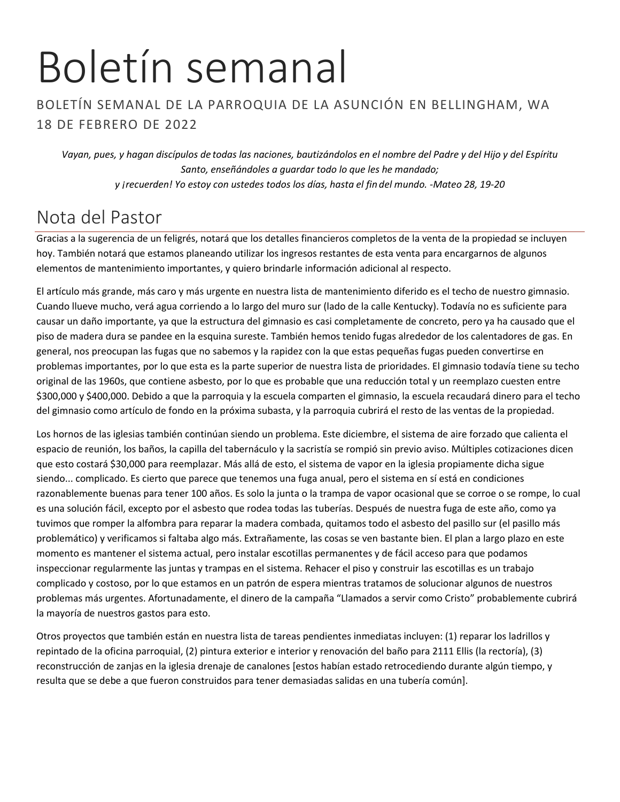# Boletín semanal

#### BOLETÍN SEMANAL DE LA PARROQUIA DE LA ASUNCIÓN EN BELLINGHAM, WA 18 DE FEBRERO DE 2022

*Vayan, pues, y hagan discípulos de todas las naciones, bautizándolos en el nombre del Padre y del Hijo y del Espíritu Santo, enseñándoles a guardar todo lo que les he mandado; y ¡recuerden! Yo estoy con ustedes todos los días, hasta el fin del mundo. -Mateo 28, 19-20*

# Nota del Pastor

Gracias a la sugerencia de un feligrés, notará que los detalles financieros completos de la venta de la propiedad se incluyen hoy. También notará que estamos planeando utilizar los ingresos restantes de esta venta para encargarnos de algunos elementos de mantenimiento importantes, y quiero brindarle información adicional al respecto.

El artículo más grande, más caro y más urgente en nuestra lista de mantenimiento diferido es el techo de nuestro gimnasio. Cuando llueve mucho, verá agua corriendo a lo largo del muro sur (lado de la calle Kentucky). Todavía no es suficiente para causar un daño importante, ya que la estructura del gimnasio es casi completamente de concreto, pero ya ha causado que el piso de madera dura se pandee en la esquina sureste. También hemos tenido fugas alrededor de los calentadores de gas. En general, nos preocupan las fugas que no sabemos y la rapidez con la que estas pequeñas fugas pueden convertirse en problemas importantes, por lo que esta es la parte superior de nuestra lista de prioridades. El gimnasio todavía tiene su techo original de las 1960s, que contiene asbesto, por lo que es probable que una reducción total y un reemplazo cuesten entre \$300,000 y \$400,000. Debido a que la parroquia y la escuela comparten el gimnasio, la escuela recaudará dinero para el techo del gimnasio como artículo de fondo en la próxima subasta, y la parroquia cubrirá el resto de las ventas de la propiedad.

Los hornos de las iglesias también continúan siendo un problema. Este diciembre, el sistema de aire forzado que calienta el espacio de reunión, los baños, la capilla del tabernáculo y la sacristía se rompió sin previo aviso. Múltiples cotizaciones dicen que esto costará \$30,000 para reemplazar. Más allá de esto, el sistema de vapor en la iglesia propiamente dicha sigue siendo... complicado. Es cierto que parece que tenemos una fuga anual, pero el sistema en sí está en condiciones razonablemente buenas para tener 100 años. Es solo la junta o la trampa de vapor ocasional que se corroe o se rompe, lo cual es una solución fácil, excepto por el asbesto que rodea todas las tuberías. Después de nuestra fuga de este año, como ya tuvimos que romper la alfombra para reparar la madera combada, quitamos todo el asbesto del pasillo sur (el pasillo más problemático) y verificamos si faltaba algo más. Extrañamente, las cosas se ven bastante bien. El plan a largo plazo en este momento es mantener el sistema actual, pero instalar escotillas permanentes y de fácil acceso para que podamos inspeccionar regularmente las juntas y trampas en el sistema. Rehacer el piso y construir las escotillas es un trabajo complicado y costoso, por lo que estamos en un patrón de espera mientras tratamos de solucionar algunos de nuestros problemas más urgentes. Afortunadamente, el dinero de la campaña "Llamados a servir como Cristo" probablemente cubrirá la mayoría de nuestros gastos para esto.

Otros proyectos que también están en nuestra lista de tareas pendientes inmediatas incluyen: (1) reparar los ladrillos y repintado de la oficina parroquial, (2) pintura exterior e interior y renovación del baño para 2111 Ellis (la rectoría), (3) reconstrucción de zanjas en la iglesia drenaje de canalones [estos habían estado retrocediendo durante algún tiempo, y resulta que se debe a que fueron construidos para tener demasiadas salidas en una tubería común].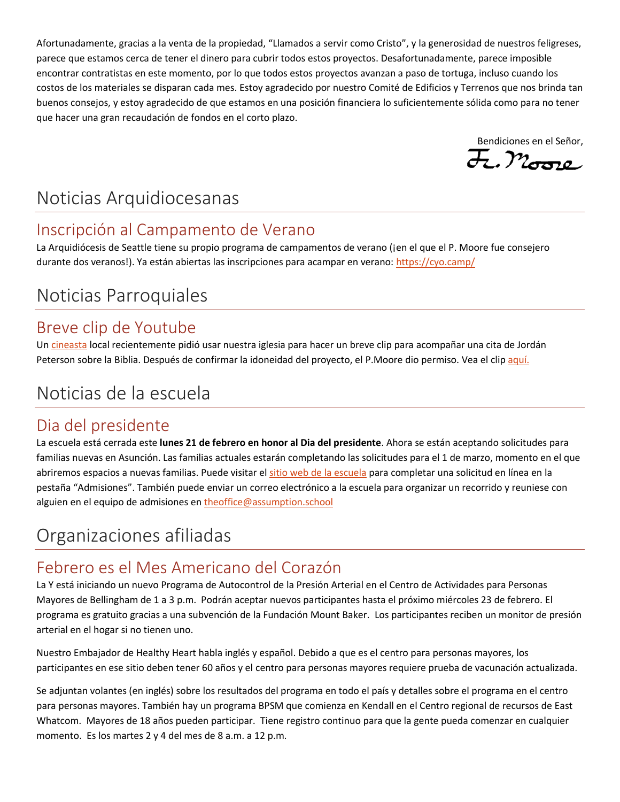Afortunadamente, gracias a la venta de la propiedad, "Llamados a servir como Cristo", y la generosidad de nuestros feligreses, parece que estamos cerca de tener el dinero para cubrir todos estos proyectos. Desafortunadamente, parece imposible encontrar contratistas en este momento, por lo que todos estos proyectos avanzan a paso de tortuga, incluso cuando los costos de los materiales se disparan cada mes. Estoy agradecido por nuestro Comité de Edificios y Terrenos que nos brinda tan buenos consejos, y estoy agradecido de que estamos en una posición financiera lo suficientemente sólida como para no tener que hacer una gran recaudación de fondos en el corto plazo.

Bendiciones en el Señor,<br>H., Moore

# Noticias Arquidiocesanas

## Inscripción al Campamento de Verano

La Arquidiócesis de Seattle tiene su propio programa de campamentos de verano (jen el que el P. Moore fue consejero durante dos veranos!). Ya están abiertas las inscripciones para acampar en verano:<https://cyo.camp/>

# Noticias Parroquiales

## Breve clip de Youtube

U[n cineasta](https://www.pacificmedia.co/info) local recientemente pidió usar nuestra iglesia para hacer un breve clip para acompañar una cita de Jordán Peterson sobre la Biblia. Después de confirmar la idoneidad del proyecto, el P.Moore dio permiso. Vea el cli[p aquí.](https://www.youtube.com/watch?v=p_IAubEzycs)

# Noticias de la escuela

### Dia del presidente

La escuela está cerrada este **lunes 21 de febrero en honor al Dia del presidente**. Ahora se están aceptando solicitudes para familias nuevas en Asunción. Las familias actuales estarán completando las solicitudes para el 1 de marzo, momento en el que abriremos espacios a nuevas familias. Puede visitar el [sitio web de la escuela](https://school.assumption.org/) para completar una solicitud en línea en la pestaña "Admisiones". También puede enviar un correo electrónico a la escuela para organizar un recorrido y reuniese con alguien en el equipo de admisiones e[n theoffice@assumption.school](mailto:theoffice@assumption.school)

# Organizaciones afiliadas

# Febrero es el Mes Americano del Corazón

La Y está iniciando un nuevo Programa de Autocontrol de la Presión Arterial en el Centro de Actividades para Personas Mayores de Bellingham de 1 a 3 p.m. Podrán aceptar nuevos participantes hasta el próximo miércoles 23 de febrero. El programa es gratuito gracias a una subvención de la Fundación Mount Baker. Los participantes reciben un monitor de presión arterial en el hogar si no tienen uno.

Nuestro Embajador de Healthy Heart habla inglés y español. Debido a que es el centro para personas mayores, los participantes en ese sitio deben tener 60 años y el centro para personas mayores requiere prueba de vacunación actualizada.

Se adjuntan volantes (en inglés) sobre los resultados del programa en todo el país y detalles sobre el programa en el centro para personas mayores. También hay un programa BPSM que comienza en Kendall en el Centro regional de recursos de East Whatcom. Mayores de 18 años pueden participar. Tiene registro continuo para que la gente pueda comenzar en cualquier momento. Es los martes 2 y 4 del mes de 8 a.m. a 12 p.m.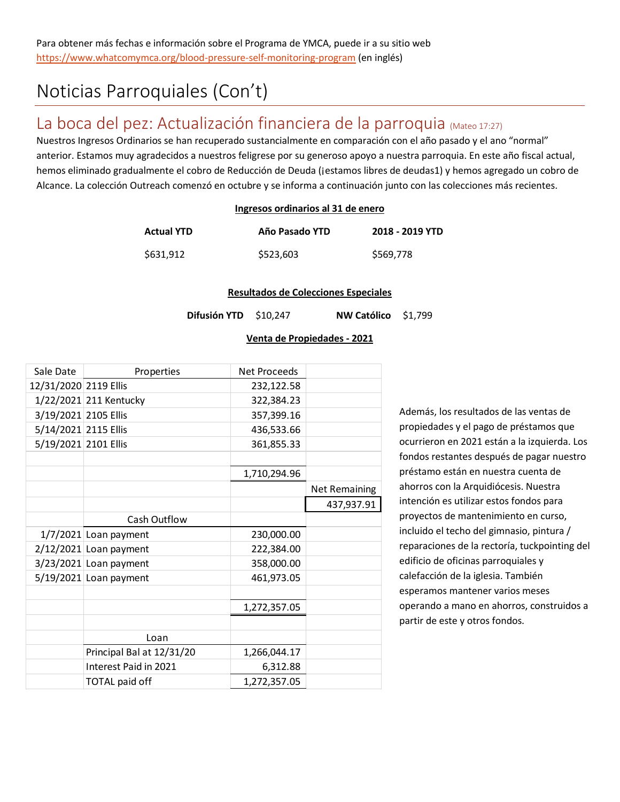# Noticias Parroquiales (Con't)

## La boca del pez: Actualización financiera de la parroquia (Mateo 17:27)

Nuestros Ingresos Ordinarios se han recuperado sustancialmente en comparación con el año pasado y el ano "normal" anterior. Estamos muy agradecidos a nuestros feligrese por su generoso apoyo a nuestra parroquia. En este año fiscal actual, hemos eliminado gradualmente el cobro de Reducción de Deuda (jestamos libres de deudas1) y hemos agregado un cobro de Alcance. La colección Outreach comenzó en octubre y se informa a continuación junto con las colecciones más recientes.

#### **Ingresos ordinarios al 31 de enero**

| <b>Actual YTD</b> | Año Pasado YTD | 2018 - 2019 YTD |
|-------------------|----------------|-----------------|
| \$631,912         | \$523,603      | \$569,778       |

#### **Resultados de Colecciones Especiales**

**Difusión YTD** \$10,247 **NW Católico** \$1,799

#### **Venta de Propiedades - 2021**

| Sale Date             | Properties                | Net Proceeds |                      |
|-----------------------|---------------------------|--------------|----------------------|
| 12/31/2020 2119 Ellis |                           | 232,122.58   |                      |
|                       | 1/22/2021 211 Kentucky    | 322,384.23   |                      |
| 3/19/2021 2105 Ellis  |                           | 357,399.16   |                      |
| 5/14/2021 2115 Ellis  |                           | 436,533.66   |                      |
| 5/19/2021 2101 Ellis  |                           | 361,855.33   |                      |
|                       |                           |              |                      |
|                       |                           | 1,710,294.96 |                      |
|                       |                           |              | <b>Net Remaining</b> |
|                       |                           |              | 437,937.91           |
|                       | Cash Outflow              |              |                      |
|                       | $1/7/2021$ Loan payment   | 230,000.00   |                      |
|                       | $2/12/2021$ Loan payment  | 222,384.00   |                      |
|                       | 3/23/2021 Loan payment    | 358,000.00   |                      |
|                       | $5/19/2021$ Loan payment  | 461,973.05   |                      |
|                       |                           |              |                      |
|                       |                           | 1,272,357.05 |                      |
|                       |                           |              |                      |
|                       | Loan                      |              |                      |
|                       | Principal Bal at 12/31/20 | 1,266,044.17 |                      |
|                       | Interest Paid in 2021     | 6,312.88     |                      |
|                       | <b>TOTAL paid off</b>     | 1,272,357.05 |                      |

Además, los resultados de las ventas de propiedades y el pago de préstamos que ocurrieron en 2021 están a la izquierda. Los fondos restantes después de pagar nuestro préstamo están en nuestra cuenta de ahorros con la Arquidiócesis. Nuestra intención es utilizar estos fondos para proyectos de mantenimiento en curso, incluido el techo del gimnasio, pintura / reparaciones de la rectoría, tuckpointing del edificio de oficinas parroquiales y calefacción de la iglesia. También esperamos mantener varios meses operando a mano en ahorros, construidos a partir de este y otros fondos.